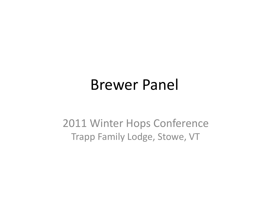#### Brewer Panel

2011 Winter Hops Conference Trapp Family Lodge, Stowe, VT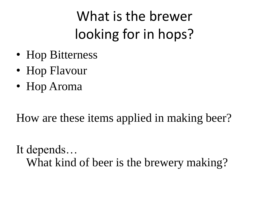# What is the brewer looking for in hops?

- Hop Bitterness
- Hop Flavour
- Hop Aroma

How are these items applied in making beer?

It depends… What kind of beer is the brewery making?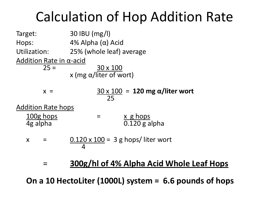#### Calculation of Hop Addition Rate

| Target:                         | $30$ IBU (mg/l)                               |  |  |  |
|---------------------------------|-----------------------------------------------|--|--|--|
| Hops:                           | 4% Alpha (α) Acid                             |  |  |  |
| Utilization:                    | 25% (whole leaf) average                      |  |  |  |
| Addition Rate in $\alpha$ -acid |                                               |  |  |  |
| $25 =$                          | $30 \times 100$                               |  |  |  |
| x (mg $\alpha$ /liter of wort)  |                                               |  |  |  |
| $X =$                           | $30 \times 100 = 120$ mg a/liter wort<br>25   |  |  |  |
| <b>Addition Rate hops</b>       |                                               |  |  |  |
| 100g hops                       |                                               |  |  |  |
| 4g alpha                        | $x$ g hops<br>0.120 g alpha                   |  |  |  |
| $\boldsymbol{X}$                | $0.120 \times 100 = 3$ g hops/liter wort<br>4 |  |  |  |
|                                 | 300g/hl of 4% Alpha Acid Whole Leaf Hops      |  |  |  |

**On a 10 HectoLiter (1000L) system = 6.6 pounds of hops**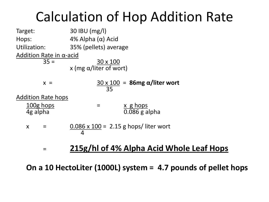#### Calculation of Hop Addition Rate



**On a 10 HectoLiter (1000L) system = 4.7 pounds of pellet hops**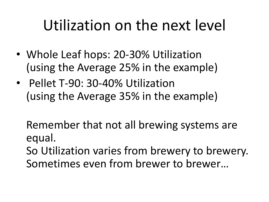# Utilization on the next level

- Whole Leaf hops: 20-30% Utilization (using the Average 25% in the example)
- Pellet T-90: 30-40% Utilization (using the Average 35% in the example)

Remember that not all brewing systems are equal.

So Utilization varies from brewery to brewery. Sometimes even from brewer to brewer...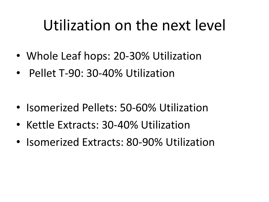## Utilization on the next level

- Whole Leaf hops: 20-30% Utilization
- Pellet T-90: 30-40% Utilization

- Isomerized Pellets: 50-60% Utilization
- Kettle Extracts: 30-40% Utilization
- Isomerized Extracts: 80-90% Utilization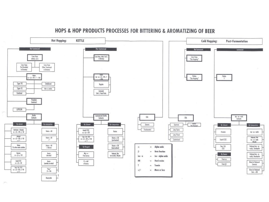#### HOPS & HOP PRODUCTS PROCESSES FOR BITTERING & AROMATIZING OF BEER

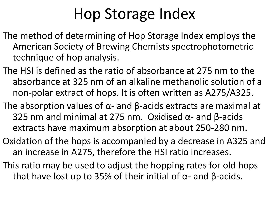### Hop Storage Index

- The method of determining of Hop Storage Index employs the American Society of Brewing Chemists spectrophotometric technique of hop analysis.
- The HSI is defined as the ratio of absorbance at 275 nm to the absorbance at 325 nm of an alkaline methanolic solution of a non-polar extract of hops. It is often written as A275/A325.
- The absorption values of  $\alpha$  and  $\beta$ -acids extracts are maximal at 325 nm and minimal at 275 nm. Oxidised  $\alpha$ - and β-acids extracts have maximum absorption at about 250-280 nm.
- Oxidation of the hops is accompanied by a decrease in A325 and an increase in A275, therefore the HSI ratio increases.
- This ratio may be used to adjust the hopping rates for old hops that have lost up to 35% of their initial of  $\alpha$ - and  $\beta$ -acids.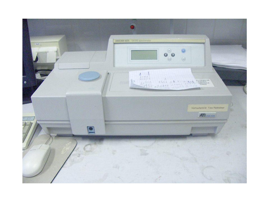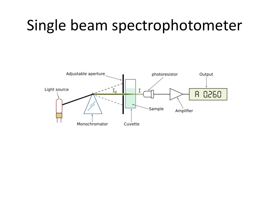## Single beam spectrophotometer

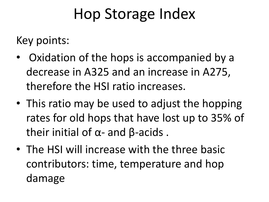#### Hop Storage Index

Key points:

- Oxidation of the hops is accompanied by a decrease in A325 and an increase in A275, therefore the HSI ratio increases.
- This ratio may be used to adjust the hopping rates for old hops that have lost up to 35% of their initial of  $\alpha$ - and  $\beta$ -acids.
- The HSI will increase with the three basic contributors: time, temperature and hop damage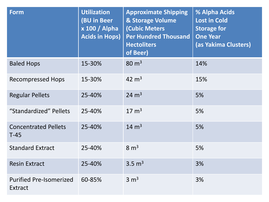| <b>Form</b>                               | <b>Utilization</b><br>(BU in Beer<br>x 100 / Alpha<br><b>Acids in Hops)</b> | <b>Approximate Shipping</b><br>& Storage Volume<br><b>(Cubic Meters)</b><br><b>Per Hundred Thousand</b><br><b>Hectoliters</b><br>of Beer) | % Alpha Acids<br><b>Lost in Cold</b><br><b>Storage for</b><br><b>One Year</b><br>(as Yakima Clusters) |
|-------------------------------------------|-----------------------------------------------------------------------------|-------------------------------------------------------------------------------------------------------------------------------------------|-------------------------------------------------------------------------------------------------------|
| <b>Baled Hops</b>                         | 15-30%                                                                      | $80 \text{ m}^3$                                                                                                                          | 14%                                                                                                   |
| <b>Recompressed Hops</b>                  | 15-30%                                                                      | 42 $m3$                                                                                                                                   | 15%                                                                                                   |
| <b>Regular Pellets</b>                    | 25-40%                                                                      | 24 $m3$                                                                                                                                   | 5%                                                                                                    |
| "Standardized" Pellets                    | 25-40%                                                                      | $17 \text{ m}^3$                                                                                                                          | 5%                                                                                                    |
| <b>Concentrated Pellets</b><br>$T-45$     | 25-40%                                                                      | $14 \text{ m}^3$                                                                                                                          | 5%                                                                                                    |
| <b>Standard Extract</b>                   | 25-40%                                                                      | $8 \text{ m}^3$                                                                                                                           | 5%                                                                                                    |
| <b>Resin Extract</b>                      | 25-40%                                                                      | 3.5 $m^3$                                                                                                                                 | 3%                                                                                                    |
| <b>Purified Pre-Isomerized</b><br>Extract | 60-85%                                                                      | 3 m <sup>3</sup>                                                                                                                          | 3%                                                                                                    |